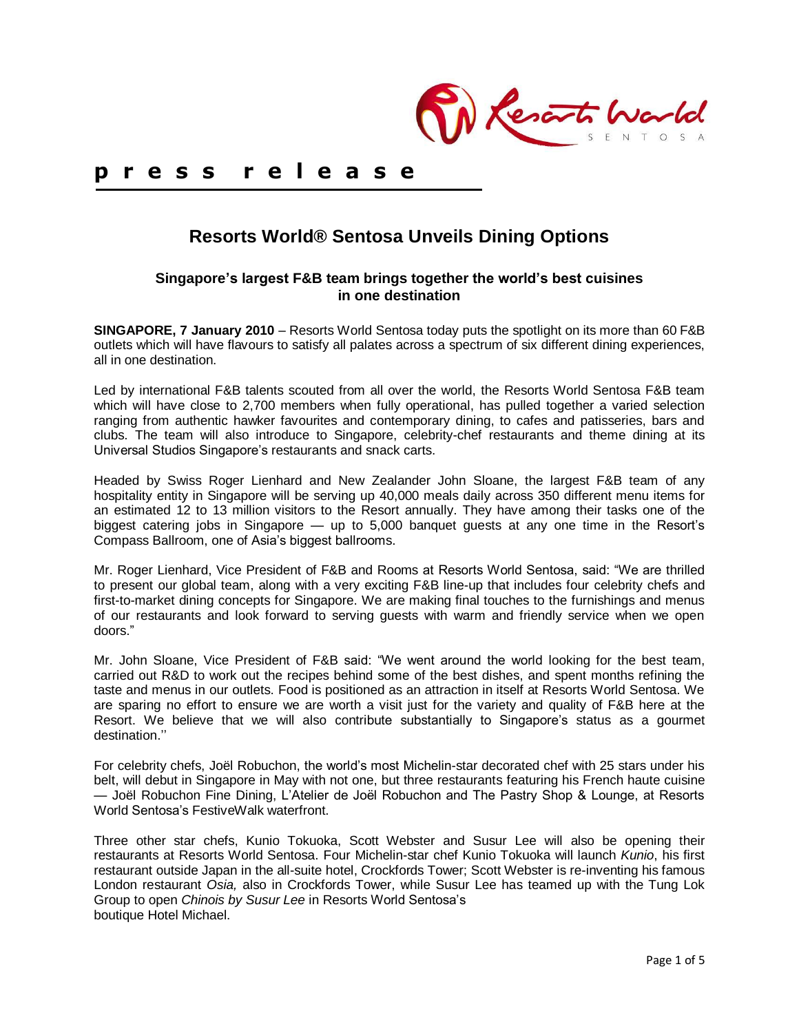Reserts Wa

# **p r e s s r e l e a s e**

# **Resorts World® Sentosa Unveils Dining Options**

## **Singapore's largest F&B team brings together the world's best cuisines in one destination**

**SINGAPORE, 7 January 2010** – Resorts World Sentosa today puts the spotlight on its more than 60 F&B outlets which will have flavours to satisfy all palates across a spectrum of six different dining experiences, all in one destination.

Led by international F&B talents scouted from all over the world, the Resorts World Sentosa F&B team which will have close to 2,700 members when fully operational, has pulled together a varied selection ranging from authentic hawker favourites and contemporary dining, to cafes and patisseries, bars and clubs. The team will also introduce to Singapore, celebrity-chef restaurants and theme dining at its Universal Studios Singapore's restaurants and snack carts.

Headed by Swiss Roger Lienhard and New Zealander John Sloane, the largest F&B team of any hospitality entity in Singapore will be serving up 40,000 meals daily across 350 different menu items for an estimated 12 to 13 million visitors to the Resort annually. They have among their tasks one of the biggest catering jobs in Singapore — up to 5,000 banquet guests at any one time in the Resort's Compass Ballroom, one of Asia's biggest ballrooms.

Mr. Roger Lienhard, Vice President of F&B and Rooms at Resorts World Sentosa, said: "We are thrilled to present our global team, along with a very exciting F&B line-up that includes four celebrity chefs and first-to-market dining concepts for Singapore. We are making final touches to the furnishings and menus of our restaurants and look forward to serving guests with warm and friendly service when we open doors.‖

Mr. John Sloane, Vice President of F&B said: "We went around the world looking for the best team, carried out R&D to work out the recipes behind some of the best dishes, and spent months refining the taste and menus in our outlets. Food is positioned as an attraction in itself at Resorts World Sentosa. We are sparing no effort to ensure we are worth a visit just for the variety and quality of F&B here at the Resort. We believe that we will also contribute substantially to Singapore's status as a gourmet destination.''

For celebrity chefs, Joël Robuchon, the world's most Michelin-star decorated chef with 25 stars under his belt, will debut in Singapore in May with not one, but three restaurants featuring his French haute cuisine — Joël Robuchon Fine Dining, L'Atelier de Joël Robuchon and The Pastry Shop & Lounge, at Resorts World Sentosa's FestiveWalk waterfront.

Three other star chefs, Kunio Tokuoka, Scott Webster and Susur Lee will also be opening their restaurants at Resorts World Sentosa. Four Michelin-star chef Kunio Tokuoka will launch *Kunio*, his first restaurant outside Japan in the all-suite hotel, Crockfords Tower; Scott Webster is re-inventing his famous London restaurant *Osia,* also in Crockfords Tower, while Susur Lee has teamed up with the Tung Lok Group to open *Chinois by Susur Lee* in Resorts World Sentosa's boutique Hotel Michael.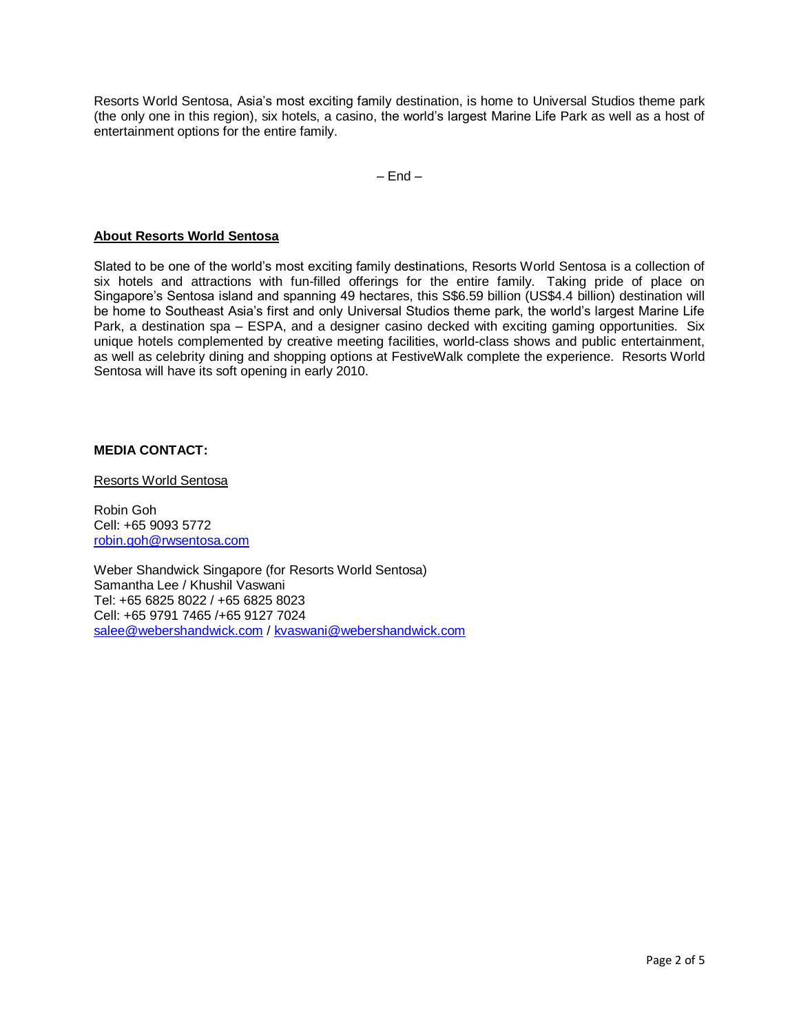Resorts World Sentosa, Asia's most exciting family destination, is home to Universal Studios theme park (the only one in this region), six hotels, a casino, the world's largest Marine Life Park as well as a host of entertainment options for the entire family.

 $-$  End  $-$ 

### **About Resorts World Sentosa**

Slated to be one of the world's most exciting family destinations, Resorts World Sentosa is a collection of six hotels and attractions with fun-filled offerings for the entire family. Taking pride of place on Singapore's Sentosa island and spanning 49 hectares, this S\$6.59 billion (US\$4.4 billion) destination will be home to Southeast Asia's first and only Universal Studios theme park, the world's largest Marine Life Park, a destination spa – ESPA, and a designer casino decked with exciting gaming opportunities. Six unique hotels complemented by creative meeting facilities, world-class shows and public entertainment, as well as celebrity dining and shopping options at FestiveWalk complete the experience. Resorts World Sentosa will have its soft opening in early 2010.

## **MEDIA CONTACT:**

Resorts World Sentosa

Robin Goh Cell: +65 9093 5772 [robin.goh@rwsentosa.com](mailto:robin.goh@rwsentosa.com)

Weber Shandwick Singapore (for Resorts World Sentosa) Samantha Lee / Khushil Vaswani Tel: +65 6825 8022 / +65 6825 8023 Cell: +65 9791 7465 /+65 9127 7024 [salee@webershandwick.com](mailto:salee@webershandwick.com) / [kvaswani@webershandwick.com](mailto:kvaswani@webershandwick.com)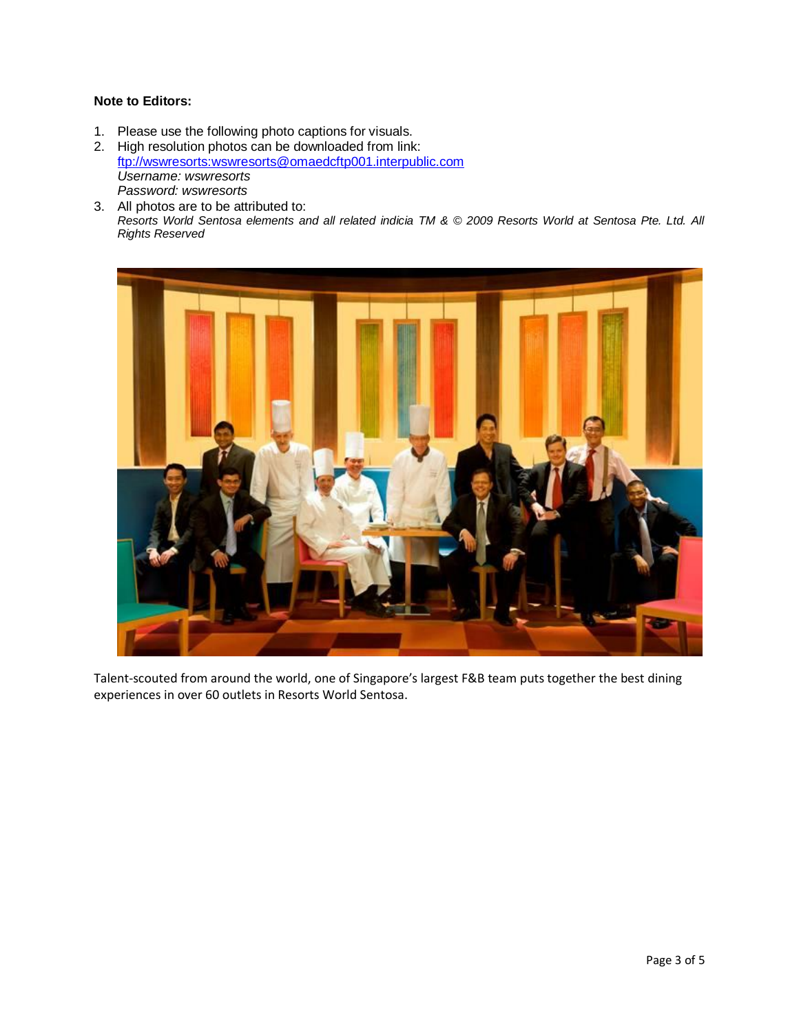## **Note to Editors:**

1. Please use the following photo captions for visuals.

2. High resolution photos can be downloaded from link: [ftp://wswresorts:wswresorts@omaedcftp001.interpublic.com](ftp://wswresorts:wswresorts@omaedcftp001.interpublic.com/) *Username: wswresorts Password: wswresorts*

3. All photos are to be attributed to: *Resorts World Sentosa elements and all related indicia TM & © 2009 Resorts World at Sentosa Pte. Ltd. All Rights Reserved*



Talent-scouted from around the world, one of Singapore's largest F&B team puts together the best dining experiences in over 60 outlets in Resorts World Sentosa.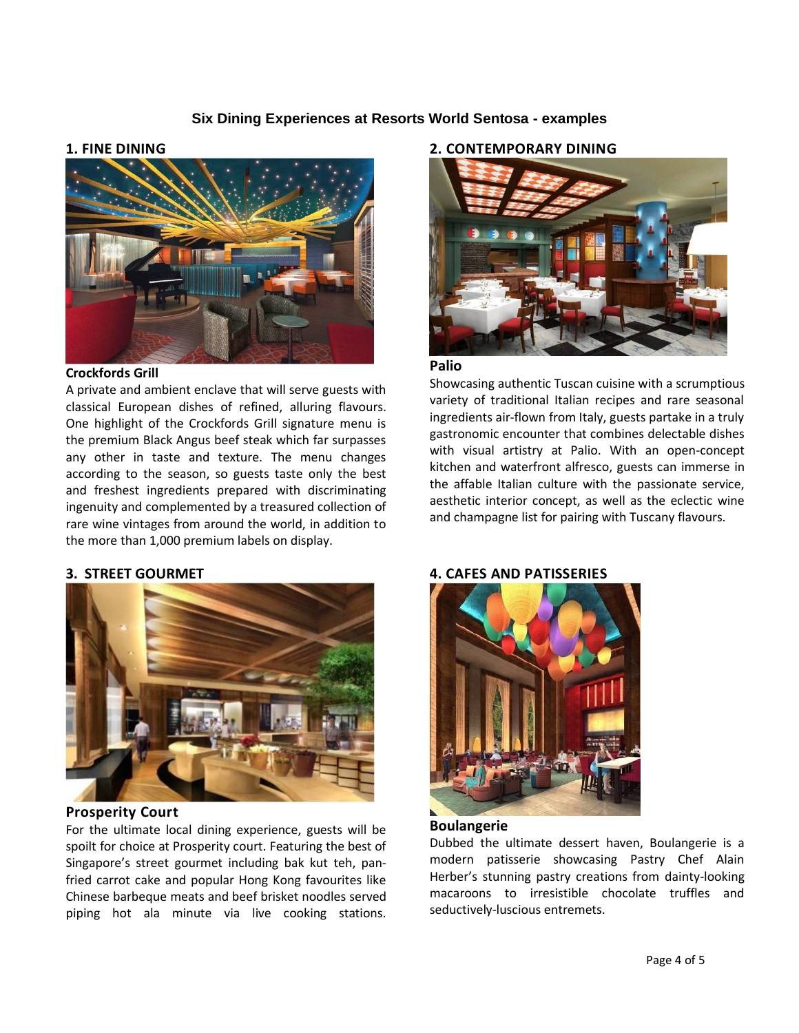# **Six Dining Experiences at Resorts World Sentosa - examples**

#### **1. FINE DINING**



#### **Crockfords Grill**

A private and ambient enclave that will serve guests with classical European dishes of refined, alluring flavours. One highlight of the Crockfords Grill signature menu is the premium Black Angus beef steak which far surpasses any other in taste and texture. The menu changes according to the season, so guests taste only the best and freshest ingredients prepared with discriminating ingenuity and complemented by a treasured collection of rare wine vintages from around the world, in addition to the more than 1,000 premium labels on display.

#### **2. CONTEMPORARY DINING**



#### **Palio**

Showcasing authentic Tuscan cuisine with a scrumptious variety of traditional Italian recipes and rare seasonal ingredients air-flown from Italy, guests partake in a truly gastronomic encounter that combines delectable dishes with visual artistry at Palio. With an open-concept kitchen and waterfront alfresco, guests can immerse in the affable Italian culture with the passionate service, aesthetic interior concept, as well as the eclectic wine and champagne list for pairing with Tuscany flavours.

#### **3. STREET GOURMET**



#### **Prosperity Court**

For the ultimate local dining experience, guests will be spoilt for choice at Prosperity court. Featuring the best of Singapore's street gourmet including bak kut teh, panfried carrot cake and popular Hong Kong favourites like Chinese barbeque meats and beef brisket noodles served piping hot ala minute via live cooking stations.

#### **4. CAFES AND PATISSERIES**



#### **Boulangerie**

Dubbed the ultimate dessert haven, Boulangerie is a modern patisserie showcasing Pastry Chef Alain Herber's stunning pastry creations from dainty-looking macaroons to irresistible chocolate truffles and seductively-luscious entremets.